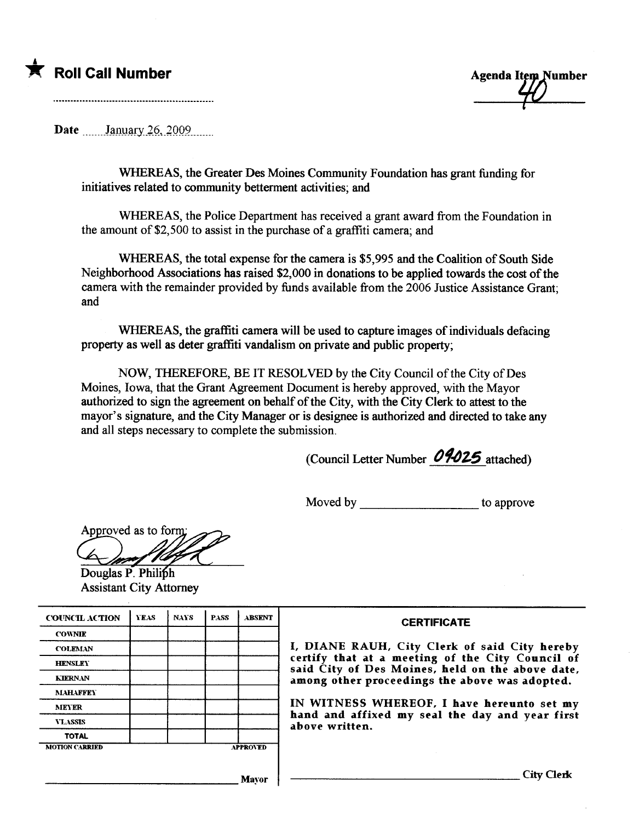



Date  $\frac{\text{January } 26,2009}{\text{Input }$ 

WHREAS, the Greater Des Moines Community Foundation has grant funding for initiatives related to community betterment activities; and

WHREAS, the Police Department has received a grant award from the Foundation in the amount of \$2,500 to assist in the purchase of a graffiti camera; and

WHREAS, the total expense for the camera is \$5,995 and the Coalition of South Side Neighborhood Associations has raised \$2,000 in donations to be applied towards the cost of the camera with the remainder provided by funds available from the 2006 Justice Assistance Grant; and

WHEREAS, the graffiti camera will be used to capture images of individuals defacing property as well as deter graffiti vandalism on private and public property;

NOW, THEREFORE, BE IT RESOLVED by the City Council of the City of Des Moines, Iowa, that the Grant Agreement Document is hereby approved, with the Mayor authorized to sign the ageement on behalf of the City, with the City Clerk to attest to the mayor's signature, and the City Manager or is designee is authorized and directed to take any and all steps necessary to complete the submission.

(Council Letter Number  $04025$  attached)

Moved by to approve

Approved as to form:

Douglas P. Philiph Assistant City Attorney

| <b>COUNCIL ACTION</b> | <b>YEAS</b> | <b>NAYS</b> | <b>PASS</b> | <b>ABSENT</b>   | <b>CERTIFICATE</b>                                                                                                                                                                                      |  |  |
|-----------------------|-------------|-------------|-------------|-----------------|---------------------------------------------------------------------------------------------------------------------------------------------------------------------------------------------------------|--|--|
| <b>COWNIE</b>         |             |             |             |                 |                                                                                                                                                                                                         |  |  |
| <b>COLEMAN</b>        |             |             |             |                 | I, DIANE RAUH, City Clerk of said City hereby<br>certify that at a meeting of the City Council of<br>said City of Des Moines, held on the above date,<br>among other proceedings the above was adopted. |  |  |
| <b>HENSLEY</b>        |             |             |             |                 |                                                                                                                                                                                                         |  |  |
| <b>KIERNAN</b>        |             |             |             |                 |                                                                                                                                                                                                         |  |  |
| <b>MAHAFFEY</b>       |             |             |             |                 |                                                                                                                                                                                                         |  |  |
| MEYER                 |             |             |             |                 | IN WITNESS WHEREOF, I have hereunto set my<br>hand and affixed my seal the day and year first<br>above written.                                                                                         |  |  |
| <b>VLASSIS</b>        |             |             |             |                 |                                                                                                                                                                                                         |  |  |
| <b>TOTAL</b>          |             |             |             |                 |                                                                                                                                                                                                         |  |  |
| <b>MOTION CARRIED</b> |             |             |             | <b>APPROVED</b> |                                                                                                                                                                                                         |  |  |
|                       |             |             |             |                 |                                                                                                                                                                                                         |  |  |
|                       |             |             |             | <b>Mayor</b>    | City Clerk                                                                                                                                                                                              |  |  |
|                       |             |             |             |                 |                                                                                                                                                                                                         |  |  |